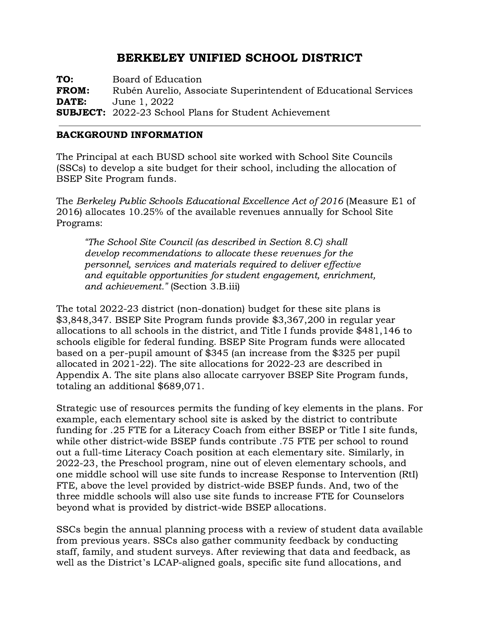# BERKELEY UNIFIED SCHOOL DISTRICT

TO: Board of Education FROM: Rubén Aurelio, Associate Superintendent of Educational Services **DATE:** June 1, 2022 SUBJECT: 2022-23 School Plans for Student Achievement

## BACKGROUND INFORMATION

The Principal at each BUSD school site worked with School Site Councils (SSCs) to develop a site budget for their school, including the allocation of BSEP Site Program funds.

The Berkeley Public Schools Educational Excellence Act of 2016 (Measure E1 of 2016) allocates 10.25% of the available revenues annually for School Site Programs:

*"*The School Site Council (as described in Section 8.C) shall develop recommendations to allocate these revenues for the personnel, services and materials required to deliver effective and equitable opportunities for student engagement, enrichment, and achievement.*"* (Section 3.B.iii)

The total 2022-23 district (non-donation) budget for these site plans is \$3,848,347. BSEP Site Program funds provide \$3,367,200 in regular year allocations to all schools in the district, and Title I funds provide \$481,146 to schools eligible for federal funding. BSEP Site Program funds were allocated based on a per-pupil amount of \$345 (an increase from the \$325 per pupil allocated in 2021-22). The site allocations for 2022-23 are described in Appendix A. The site plans also allocate carryover BSEP Site Program funds, totaling an additional \$689,071.

Strategic use of resources permits the funding of key elements in the plans. For example, each elementary school site is asked by the district to contribute funding for .25 FTE for a Literacy Coach from either BSEP or Title I site funds, while other district-wide BSEP funds contribute .75 FTE per school to round out a full-time Literacy Coach position at each elementary site. Similarly, in 2022-23, the Preschool program, nine out of eleven elementary schools, and one middle school will use site funds to increase Response to Intervention (RtI) FTE, above the level provided by district-wide BSEP funds. And, two of the three middle schools will also use site funds to increase FTE for Counselors beyond what is provided by district-wide BSEP allocations.

SSCs begin the annual planning process with a review of student data available from previous years. SSCs also gather community feedback by conducting staff, family, and student surveys. After reviewing that data and feedback, as well as the District's LCAP-aligned goals, specific site fund allocations, and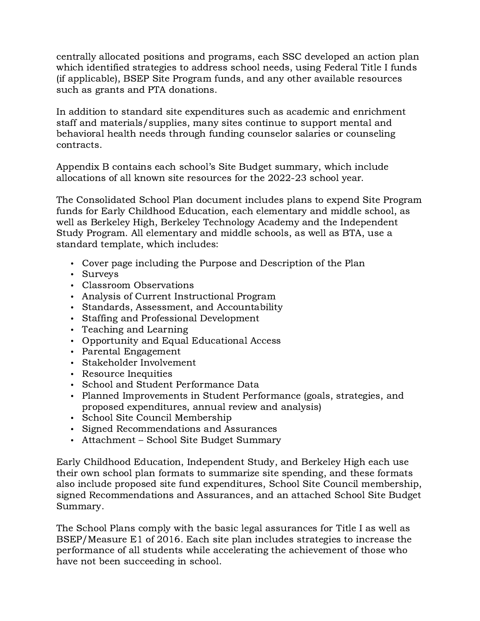centrally allocated positions and programs, each SSC developed an action plan which identified strategies to address school needs, using Federal Title I funds (if applicable), BSEP Site Program funds, and any other available resources such as grants and PTA donations.

In addition to standard site expenditures such as academic and enrichment staff and materials/supplies, many sites continue to support mental and behavioral health needs through funding counselor salaries or counseling contracts.

Appendix B contains each school's Site Budget summary, which include allocations of all known site resources for the 2022-23 school year.

The Consolidated School Plan document includes plans to expend Site Program funds for Early Childhood Education, each elementary and middle school, as well as Berkeley High, Berkeley Technology Academy and the Independent Study Program. All elementary and middle schools, as well as BTA, use a standard template, which includes:

- Cover page including the Purpose and Description of the Plan
- Surveys
- Classroom Observations
- Analysis of Current Instructional Program
- Standards, Assessment, and Accountability
- Staffing and Professional Development
- Teaching and Learning
- Opportunity and Equal Educational Access
- Parental Engagement
- Stakeholder Involvement
- Resource Inequities
- School and Student Performance Data
- Planned Improvements in Student Performance (goals, strategies, and proposed expenditures, annual review and analysis)
- School Site Council Membership
- Signed Recommendations and Assurances
- Attachment School Site Budget Summary

Early Childhood Education, Independent Study, and Berkeley High each use their own school plan formats to summarize site spending, and these formats also include proposed site fund expenditures, School Site Council membership, signed Recommendations and Assurances, and an attached School Site Budget Summary.

The School Plans comply with the basic legal assurances for Title I as well as BSEP/Measure E1 of 2016. Each site plan includes strategies to increase the performance of all students while accelerating the achievement of those who have not been succeeding in school.